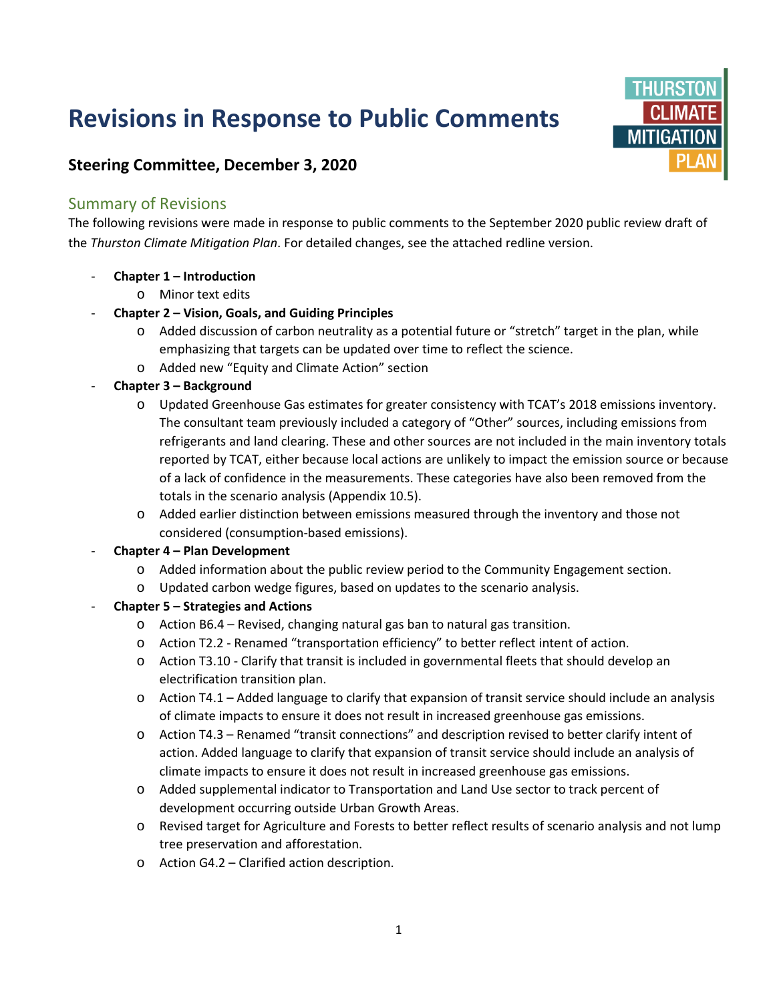# **Revisions in Response to Public Comments**



## **Steering Committee, December 3, 2020**

### Summary of Revisions

The following revisions were made in response to public comments to the September 2020 public review draft of the *Thurston Climate Mitigation Plan*. For detailed changes, see the attached redline version.

- **Chapter 1 – Introduction**
	- o Minor text edits
- **Chapter 2 – Vision, Goals, and Guiding Principles**
	- o Added discussion of carbon neutrality as a potential future or "stretch" target in the plan, while emphasizing that targets can be updated over time to reflect the science.
	- o Added new "Equity and Climate Action" section
- **Chapter 3 – Background**
	- o Updated Greenhouse Gas estimates for greater consistency with TCAT's 2018 emissions inventory. The consultant team previously included a category of "Other" sources, including emissions from refrigerants and land clearing. These and other sources are not included in the main inventory totals reported by TCAT, either because local actions are unlikely to impact the emission source or because of a lack of confidence in the measurements. These categories have also been removed from the totals in the scenario analysis (Appendix 10.5).
	- o Added earlier distinction between emissions measured through the inventory and those not considered (consumption-based emissions).
- **Chapter 4 – Plan Development**
	- o Added information about the public review period to the Community Engagement section.
	- o Updated carbon wedge figures, based on updates to the scenario analysis.

#### - **Chapter 5 – Strategies and Actions**

- o Action B6.4 Revised, changing natural gas ban to natural gas transition.
- o Action T2.2 Renamed "transportation efficiency" to better reflect intent of action.
- o Action T3.10 Clarify that transit is included in governmental fleets that should develop an electrification transition plan.
- $\circ$  Action T4.1 Added language to clarify that expansion of transit service should include an analysis of climate impacts to ensure it does not result in increased greenhouse gas emissions.
- o Action T4.3 Renamed "transit connections" and description revised to better clarify intent of action. Added language to clarify that expansion of transit service should include an analysis of climate impacts to ensure it does not result in increased greenhouse gas emissions.
- o Added supplemental indicator to Transportation and Land Use sector to track percent of development occurring outside Urban Growth Areas.
- o Revised target for Agriculture and Forests to better reflect results of scenario analysis and not lump tree preservation and afforestation.
- o Action G4.2 Clarified action description.